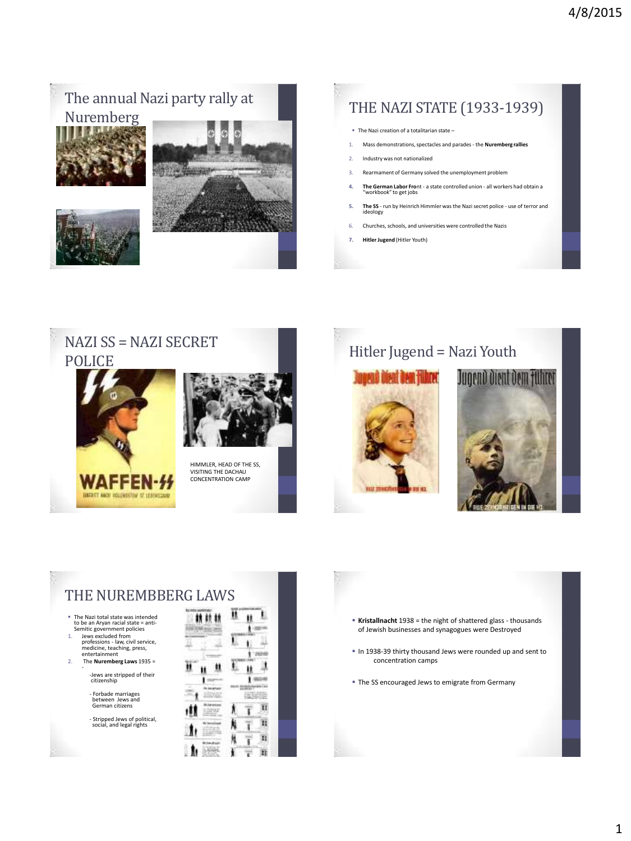## The annual Nazi party rally at Nuremberg Nuremberg Nuremberg 2011





- The Nazi creation of a totalitarian state –
- 1. Mass demonstrations, spectacles and parades the **Nuremberg rallies**
- 2. Industry was not nationalized
- 3. Rearmament of Germany solved the unemployment problem
- **4. The German Labor Fro**nt a state controlled union all workers had obtain a "workbook" to get jobs
- **5. The SS**  run by Heinrich Himmler was the Nazi secret police use of terror and ideology
- 6. Churches, schools, and universities were controlled the Nazis
- **7. Hitler Jugend** (Hitler Youth)

## NAZI SS = NAZI SECRET POLICE





HIMMLER, HEAD OF THE SS, VISITING THE DACHAU CONCENTRATION CAMP

### Hitler Jugend = Nazi Youth





### THE NUREMBBERG LAWS

- The Nazi total state was intended to be an Aryan racial state = anti-Semitic government policies
- 1. Jews excluded from professions law, civil service, medicine, teaching, press, entertainment
- 2. The **Nuremberg Laws** 1935 = -Jews are stripped of their citizenship

- Forbade marriages between Jews and German citizens

- Stripped Jews of political, social, and legal rights

| 精鼓丝 |  |  |
|-----|--|--|
|     |  |  |
|     |  |  |
|     |  |  |
|     |  |  |
|     |  |  |
|     |  |  |
|     |  |  |

- **Kristallnacht** 1938 = the night of shattered glass thousands of Jewish businesses and synagogues were Destroyed
- In 1938-39 thirty thousand Jews were rounded up and sent to concentration camps
- The SS encouraged Jews to emigrate from Germany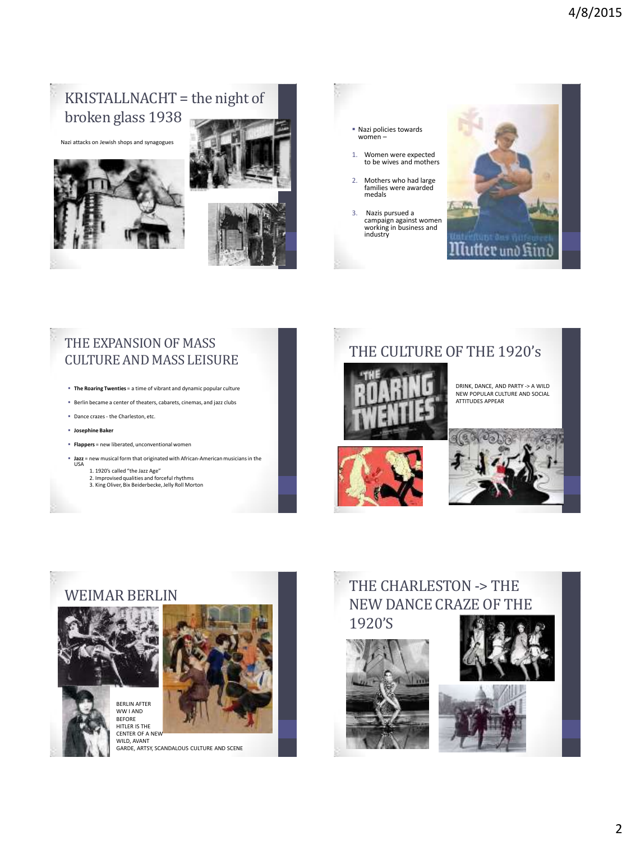### KRISTALLNACHT = the night of broken glass 1938

Nazi attacks on Jewish shops and synagogues





- Nazi policies towards women –
- 1. Women were expected to be wives and mothers
- 2. Mothers who had large families were awarded medals
- 3. Nazis pursued a campaign against women working in business and industry



### THE EXPANSION OF MASS CULTURE AND MASS LEISURE

- **The Roaring Twenties** = a time of vibrant and dynamic popular culture
- Berlin became a center of theaters, cabarets, cinemas, and jazz clubs
- Dance crazes the Charleston, etc.
- **Josephine Baker**
- **Flappers** = new liberated, unconventional women
- **Jazz** = new musical form that originated with African-American musicians in the USA

# 1. 1920's called "the Jazz Age" 2. Improvised qualities and forceful rhythms 3. King Oliver, Bix Beiderbecke, Jelly Roll Morton

### THE CULTURE OF THE 1920's



DRINK, DANCE, AND PARTY -> A WILD NEW POPULAR CULTURE AND SOCIAL ATTITUDES APPEAR





### WEIMAR BERLIN





BERLIN AFTER WW I AND BEFORE HITLER IS THE CENTER OF A NEW WILD, AVANT

GARDE, ARTSY, SCANDALOUS CULTURE AND SCENE

### THE CHARLESTON -> THE NEW DANCE CRAZE OF THE 1920'S